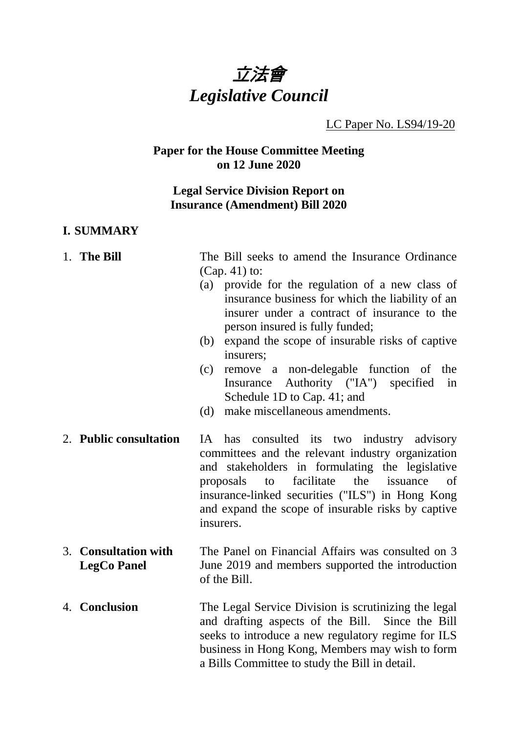

#### LC Paper No. LS94/19-20

#### **Paper for the House Committee Meeting on 12 June 2020**

## **Legal Service Division Report on Insurance (Amendment) Bill 2020**

#### **I. SUMMARY**

- 1. **The Bill** The Bill seeks to amend the Insurance Ordinance (Cap. 41) to:
	- (a) provide for the regulation of a new class of insurance business for which the liability of an insurer under a contract of insurance to the person insured is fully funded;
	- (b) expand the scope of insurable risks of captive insurers;
	- (c) remove a non-delegable function of the Insurance Authority ("IA") specified in Schedule 1D to Cap. 41; and
	- (d) make miscellaneous amendments.
- 2. **Public consultation** IA has consulted its two industry advisory committees and the relevant industry organization and stakeholders in formulating the legislative proposals to facilitate the issuance of insurance-linked securities ("ILS") in Hong Kong and expand the scope of insurable risks by captive insurers.
- 3. **Consultation with LegCo Panel** The Panel on Financial Affairs was consulted on 3 June 2019 and members supported the introduction of the Bill.
- 4. **Conclusion** The Legal Service Division is scrutinizing the legal and drafting aspects of the Bill. Since the Bill seeks to introduce a new regulatory regime for ILS business in Hong Kong, Members may wish to form a Bills Committee to study the Bill in detail.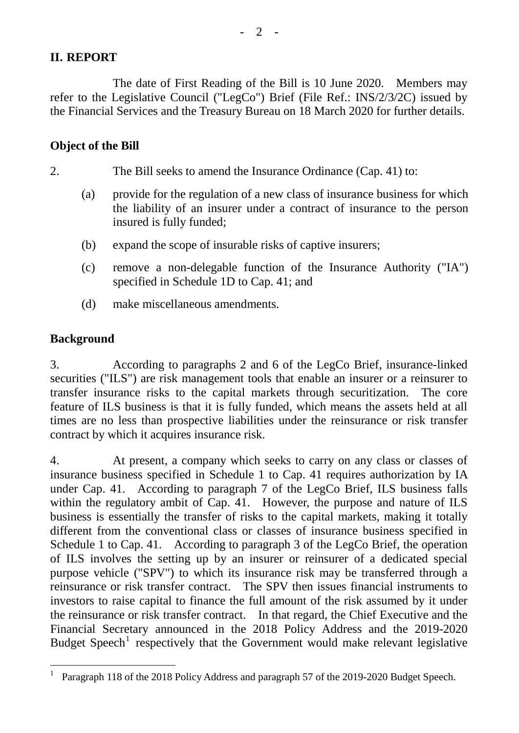# **II. REPORT**

The date of First Reading of the Bill is 10 June 2020. Members may refer to the Legislative Council ("LegCo") Brief (File Ref.: INS/2/3/2C) issued by the Financial Services and the Treasury Bureau on 18 March 2020 for further details.

## **Object of the Bill**

2. The Bill seeks to amend the Insurance Ordinance (Cap. 41) to:

- (a) provide for the regulation of a new class of insurance business for which the liability of an insurer under a contract of insurance to the person insured is fully funded;
- (b) expand the scope of insurable risks of captive insurers;
- (c) remove a non-delegable function of the Insurance Authority ("IA") specified in Schedule 1D to Cap. 41; and
- (d) make miscellaneous amendments.

# **Background**

3. According to paragraphs 2 and 6 of the LegCo Brief, insurance-linked securities ("ILS") are risk management tools that enable an insurer or a reinsurer to transfer insurance risks to the capital markets through securitization. The core feature of ILS business is that it is fully funded, which means the assets held at all times are no less than prospective liabilities under the reinsurance or risk transfer contract by which it acquires insurance risk.

4. At present, a company which seeks to carry on any class or classes of insurance business specified in Schedule 1 to Cap. 41 requires authorization by IA under Cap. 41. According to paragraph 7 of the LegCo Brief, ILS business falls within the regulatory ambit of Cap. 41. However, the purpose and nature of ILS business is essentially the transfer of risks to the capital markets, making it totally different from the conventional class or classes of insurance business specified in Schedule 1 to Cap. 41. According to paragraph 3 of the LegCo Brief, the operation of ILS involves the setting up by an insurer or reinsurer of a dedicated special purpose vehicle ("SPV") to which its insurance risk may be transferred through a reinsurance or risk transfer contract. The SPV then issues financial instruments to investors to raise capital to finance the full amount of the risk assumed by it under the reinsurance or risk transfer contract. In that regard, the Chief Executive and the Financial Secretary announced in the 2018 Policy Address and the 2019-2020 Budget  $Speech<sup>1</sup>$  $Speech<sup>1</sup>$  $Speech<sup>1</sup>$  respectively that the Government would make relevant legislative

<span id="page-1-0"></span> <sup>1</sup> Paragraph 118 of the 2018 Policy Address and paragraph 57 of the 2019-2020 Budget Speech.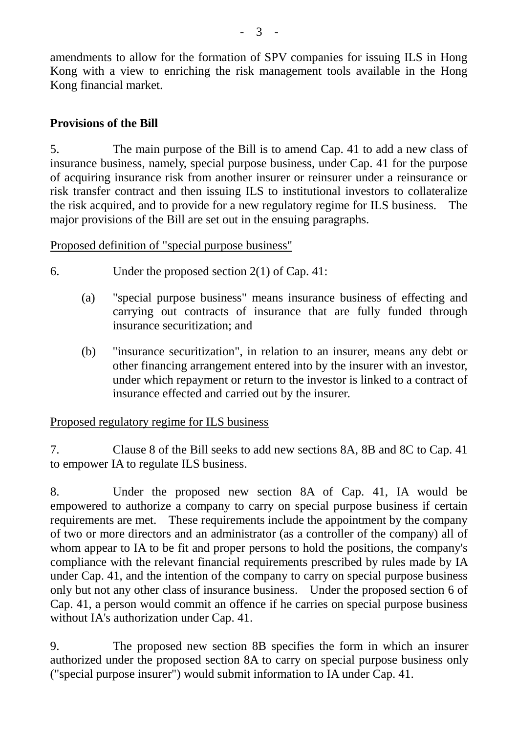amendments to allow for the formation of SPV companies for issuing ILS in Hong Kong with a view to enriching the risk management tools available in the Hong Kong financial market.

# **Provisions of the Bill**

5. The main purpose of the Bill is to amend Cap. 41 to add a new class of insurance business, namely, special purpose business, under Cap. 41 for the purpose of acquiring insurance risk from another insurer or reinsurer under a reinsurance or risk transfer contract and then issuing ILS to institutional investors to collateralize the risk acquired, and to provide for a new regulatory regime for ILS business. The major provisions of the Bill are set out in the ensuing paragraphs.

Proposed definition of "special purpose business"

- 6. Under the proposed section 2(1) of Cap. 41:
	- (a) "special purpose business" means insurance business of effecting and carrying out contracts of insurance that are fully funded through insurance securitization; and
	- (b) "insurance securitization", in relation to an insurer, means any debt or other financing arrangement entered into by the insurer with an investor, under which repayment or return to the investor is linked to a contract of insurance effected and carried out by the insurer.

Proposed regulatory regime for ILS business

7. Clause 8 of the Bill seeks to add new sections 8A, 8B and 8C to Cap. 41 to empower IA to regulate ILS business.

8. Under the proposed new section 8A of Cap. 41, IA would be empowered to authorize a company to carry on special purpose business if certain requirements are met. These requirements include the appointment by the company of two or more directors and an administrator (as a controller of the company) all of whom appear to IA to be fit and proper persons to hold the positions, the company's compliance with the relevant financial requirements prescribed by rules made by IA under Cap. 41, and the intention of the company to carry on special purpose business only but not any other class of insurance business. Under the proposed section 6 of Cap. 41, a person would commit an offence if he carries on special purpose business without IA's authorization under Cap. 41.

9. The proposed new section 8B specifies the form in which an insurer authorized under the proposed section 8A to carry on special purpose business only ("special purpose insurer") would submit information to IA under Cap. 41.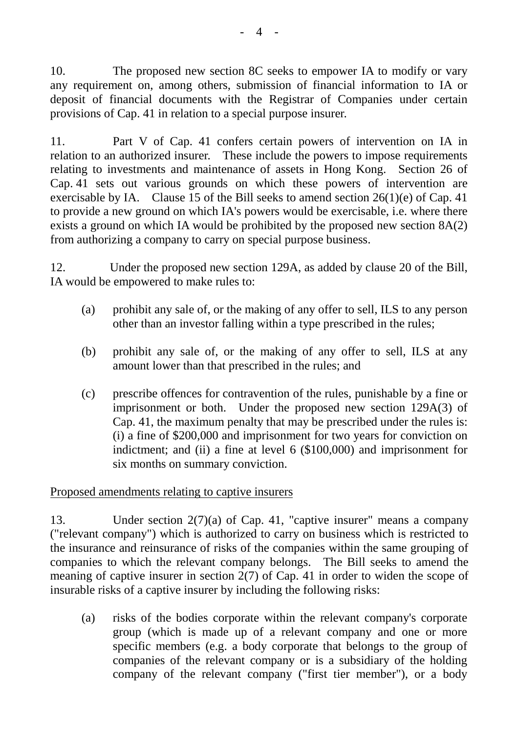10. The proposed new section 8C seeks to empower IA to modify or vary any requirement on, among others, submission of financial information to IA or deposit of financial documents with the Registrar of Companies under certain provisions of Cap. 41 in relation to a special purpose insurer.

11. Part V of Cap. 41 confers certain powers of intervention on IA in relation to an authorized insurer. These include the powers to impose requirements relating to investments and maintenance of assets in Hong Kong. Section 26 of Cap. 41 sets out various grounds on which these powers of intervention are exercisable by IA. Clause 15 of the Bill seeks to amend section  $26(1)(e)$  of Cap. 41 to provide a new ground on which IA's powers would be exercisable, i.e. where there exists a ground on which IA would be prohibited by the proposed new section 8A(2) from authorizing a company to carry on special purpose business.

12. Under the proposed new section 129A, as added by clause 20 of the Bill, IA would be empowered to make rules to:

- (a) prohibit any sale of, or the making of any offer to sell, ILS to any person other than an investor falling within a type prescribed in the rules;
- (b) prohibit any sale of, or the making of any offer to sell, ILS at any amount lower than that prescribed in the rules; and
- (c) prescribe offences for contravention of the rules, punishable by a fine or imprisonment or both. Under the proposed new section 129A(3) of Cap. 41, the maximum penalty that may be prescribed under the rules is: (i) a fine of \$200,000 and imprisonment for two years for conviction on indictment; and (ii) a fine at level 6 (\$100,000) and imprisonment for six months on summary conviction.

## Proposed amendments relating to captive insurers

13. Under section 2(7)(a) of Cap. 41, "captive insurer" means a company ("relevant company") which is authorized to carry on business which is restricted to the insurance and reinsurance of risks of the companies within the same grouping of companies to which the relevant company belongs. The Bill seeks to amend the meaning of captive insurer in section 2(7) of Cap. 41 in order to widen the scope of insurable risks of a captive insurer by including the following risks:

(a) risks of the bodies corporate within the relevant company's corporate group (which is made up of a relevant company and one or more specific members (e.g. a body corporate that belongs to the group of companies of the relevant company or is a subsidiary of the holding company of the relevant company ("first tier member"), or a body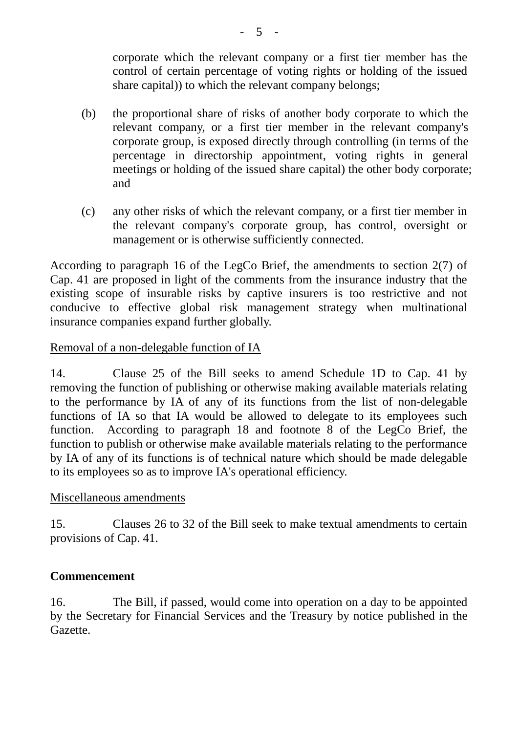corporate which the relevant company or a first tier member has the control of certain percentage of voting rights or holding of the issued share capital)) to which the relevant company belongs;

- (b) the proportional share of risks of another body corporate to which the relevant company, or a first tier member in the relevant company's corporate group, is exposed directly through controlling (in terms of the percentage in directorship appointment, voting rights in general meetings or holding of the issued share capital) the other body corporate; and
- (c) any other risks of which the relevant company, or a first tier member in the relevant company's corporate group, has control, oversight or management or is otherwise sufficiently connected.

According to paragraph 16 of the LegCo Brief, the amendments to section 2(7) of Cap. 41 are proposed in light of the comments from the insurance industry that the existing scope of insurable risks by captive insurers is too restrictive and not conducive to effective global risk management strategy when multinational insurance companies expand further globally.

# Removal of a non-delegable function of IA

14. Clause 25 of the Bill seeks to amend Schedule 1D to Cap. 41 by removing the function of publishing or otherwise making available materials relating to the performance by IA of any of its functions from the list of non-delegable functions of IA so that IA would be allowed to delegate to its employees such function. According to paragraph 18 and footnote 8 of the LegCo Brief, the function to publish or otherwise make available materials relating to the performance by IA of any of its functions is of technical nature which should be made delegable to its employees so as to improve IA's operational efficiency.

## Miscellaneous amendments

15. Clauses 26 to 32 of the Bill seek to make textual amendments to certain provisions of Cap. 41.

# **Commencement**

16. The Bill, if passed, would come into operation on a day to be appointed by the Secretary for Financial Services and the Treasury by notice published in the Gazette.